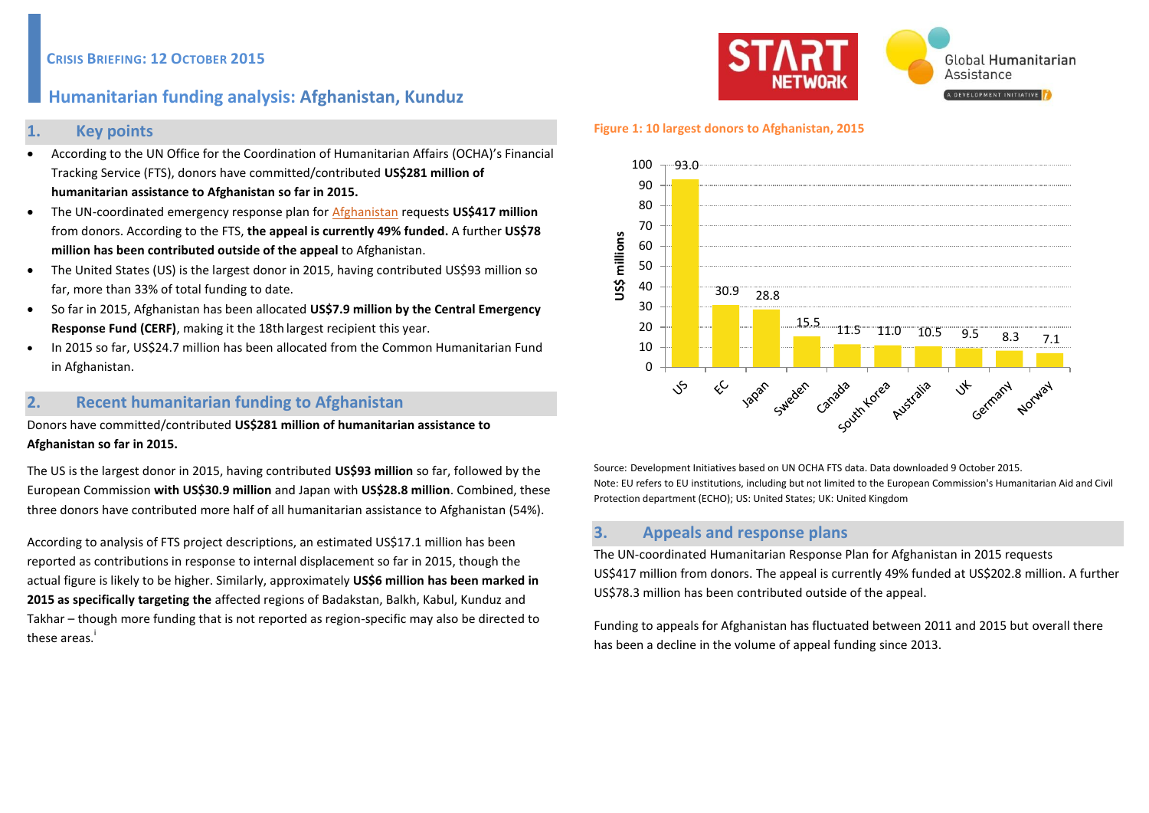## **CRISIS BRIEFING: 12 OCTOBER 2015**

# **Humanitarian funding analysis: Afghanistan, Kunduz**

### **1. Key points**

- According to the UN Office for the Coordination of Humanitarian Affairs (OCHA)'s Financial Tracking Service (FTS), donors have committed/contributed **US\$281 million of humanitarian assistance to Afghanistan so far in 2015.**
- The UN-coordinated emergency response plan for [Afghanistan](https://fts.unocha.org/pageloader.aspx?page=emerg-emergencyDetails&appealID=1070) requests **US\$417 million** from donors. According to the FTS, **the appeal is currently 49% funded.** A further **US\$78 million has been contributed outside of the appeal** to Afghanistan.
- The United States (US) is the largest donor in 2015, having contributed US\$93 million so far, more than 33% of total funding to date.
- So far in 2015, Afghanistan has been allocated **US\$7.9 million by the Central Emergency Response Fund (CERF)**, making it the 18th largest recipient this year.
- In 2015 so far, US\$24.7 million has been allocated from the Common Humanitarian Fund in Afghanistan.

# **2. Recent humanitarian funding to Afghanistan**

Donors have committed/contributed **US\$281 million of humanitarian assistance to Afghanistan so far in 2015.** 

The US is the largest donor in 2015, having contributed **US\$93 million** so far, followed by the European Commission **with US\$30.9 million** and Japan with **US\$28.8 million**. Combined, these three donors have contributed more half of all humanitarian assistance to Afghanistan (54%).

According to analysis of FTS project descriptions, an estimated US\$17.1 million has been reported as contributions in response to internal displacement so far in 2015, though the actual figure is likely to be higher. Similarly, approximately **US\$6 million has been marked in 2015 as specifically targeting the** affected regions of Badakstan, Balkh, Kabul, Kunduz and Takhar – though more funding that is not reported as region-specific may also be directed to these areas.<sup>i</sup>



#### **Figure 1: 10 largest donors to Afghanistan, 2015**



Source: Development Initiatives based on UN OCHA FTS data. Data downloaded 9 October 2015. Note: EU refers to EU institutions, including but not limited to the European Commission's Humanitarian Aid and Civil Protection department (ECHO); US: United States; UK: United Kingdom

# **3. Appeals and response plans**

The UN-coordinated Humanitarian Response Plan [for Afghanistan](https://fts.unocha.org/reports/daily/ocha_R21_Y2015_asof___24_September_2015_(16_07).pdf) in 2015 requests US\$417 million from donors. The appeal is currently 49% funded at US\$202.8 million. A further US\$78.3 million has been contributed outside of the appeal.

Funding to appeals for Afghanistan has fluctuated between 2011 and 2015 but overall there has been a decline in the volume of appeal funding since 2013.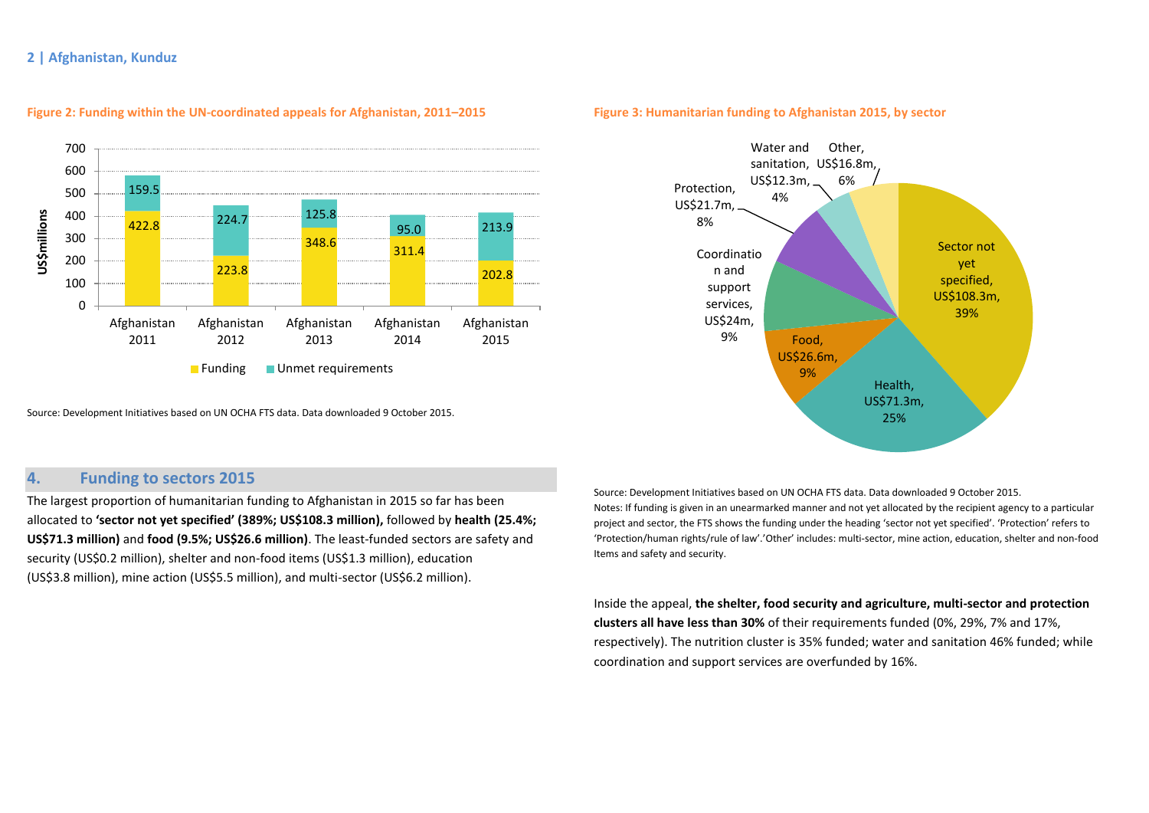

#### **Figure 2: Funding within the UN-coordinated appeals for Afghanistan, 2011–2015**

Source: Development Initiatives based on UN OCHA FTS data. Data downloaded 9 October 2015.

#### **Figure 3: Humanitarian funding to Afghanistan 2015, by sector**



## **4. Funding to sectors 2015**

The largest proportion of humanitarian funding to Afghanistan in 2015 so far has been allocated to **'sector not yet specified' (389%; US\$108.3 million),** followed by **health (25.4%; US\$71.3 million)** and **food (9.5%; US\$26.6 million)**. The least-funded sectors are safety and security (US\$0.2 million), shelter and non-food items (US\$1.3 million), education (US\$3.8 million), mine action (US\$5.5 million), and multi-sector (US\$6.2 million).

Source: Development Initiatives based on UN OCHA FTS data. Data downloaded 9 October 2015. Notes: If funding is given in an unearmarked manner and not yet allocated by the recipient agency to a particular project and sector, the FTS shows the funding under the heading 'sector not yet specified'. 'Protection' refers to 'Protection/human rights/rule of law'.'Other' includes: multi-sector, mine action, education, shelter and non-food Items and safety and security.

Inside the appeal, **the shelter, food security and agriculture, multi-sector and protection clusters all have less than 30%** of their requirements funded (0%, 29%, 7% and 17%, respectively). The nutrition cluster is 35% funded; water and sanitation 46% funded; while coordination and support services are overfunded by 16%.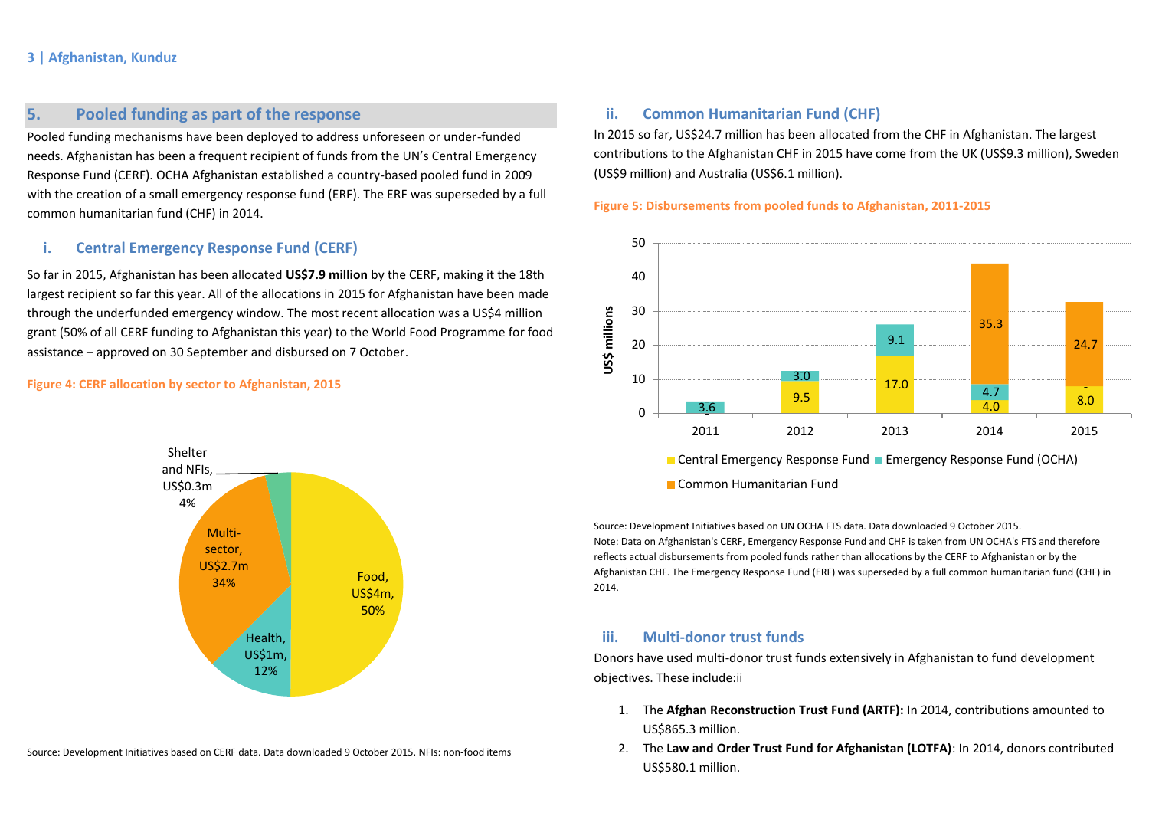# **5. Pooled funding as part of the response**

Pooled funding mechanisms have been deployed to address unforeseen or under-funded needs. Afghanistan has been a frequent recipient of funds from the UN's Central Emergency Response Fund (CERF). OCHA Afghanistan established a country-based pooled fund in 2009 with the creation of a small emergency response fund (ERF). The ERF was superseded by a full common humanitarian fund (CHF) in 2014.

### **i. Central Emergency Response Fund (CERF)**

So far in 2015, Afghanistan has been allocated **US\$7.9 million** by the CERF, making it the 18th largest recipient so far this year. All of the allocations in 2015 for Afghanistan have been made through the underfunded emergency window. The most recent allocation was a US\$4 million grant (50% of all CERF funding to Afghanistan this year) to the World Food Programme for food assistance – approved on 30 September and disbursed on 7 October.

#### **Figure 4: CERF allocation by sector to Afghanistan, 2015**



Source: Development Initiatives based on CERF data. Data downloaded 9 October 2015. NFIs: non-food items

## **ii. Common Humanitarian Fund (CHF)**

In 2015 so far, US\$24.7 million has been allocated from the CHF in Afghanistan. The largest contributions to the Afghanistan CHF in 2015 have come from the UK (US\$9.3 million), Sweden (US\$9 million) and Australia (US\$6.1 million).

**Figure 5: Disbursements from pooled funds to Afghanistan, 2011-2015**



**Common Humanitarian Fund** 

Source: Development Initiatives based on UN OCHA FTS data. Data downloaded 9 October 2015. Note: Data on Afghanistan's CERF, Emergency Response Fund and CHF is taken from UN OCHA's FTS and therefore reflects actual disbursements from pooled funds rather than allocations by the CERF to Afghanistan or by the Afghanistan CHF. The Emergency Response Fund (ERF) was superseded by a full common humanitarian fund (CHF) in 2014.

## **iii. Multi-donor trust funds**

Donors have used multi-donor trust funds extensively in Afghanistan to fund development objectives. These include:ii

- 1. The **Afghan Reconstruction Trust Fund (ARTF):** In 2014, contributions amounted to US\$865.3 million.
- 2. The **Law and Order Trust Fund for Afghanistan (LOTFA)**: In 2014, donors contributed US\$580.1 million.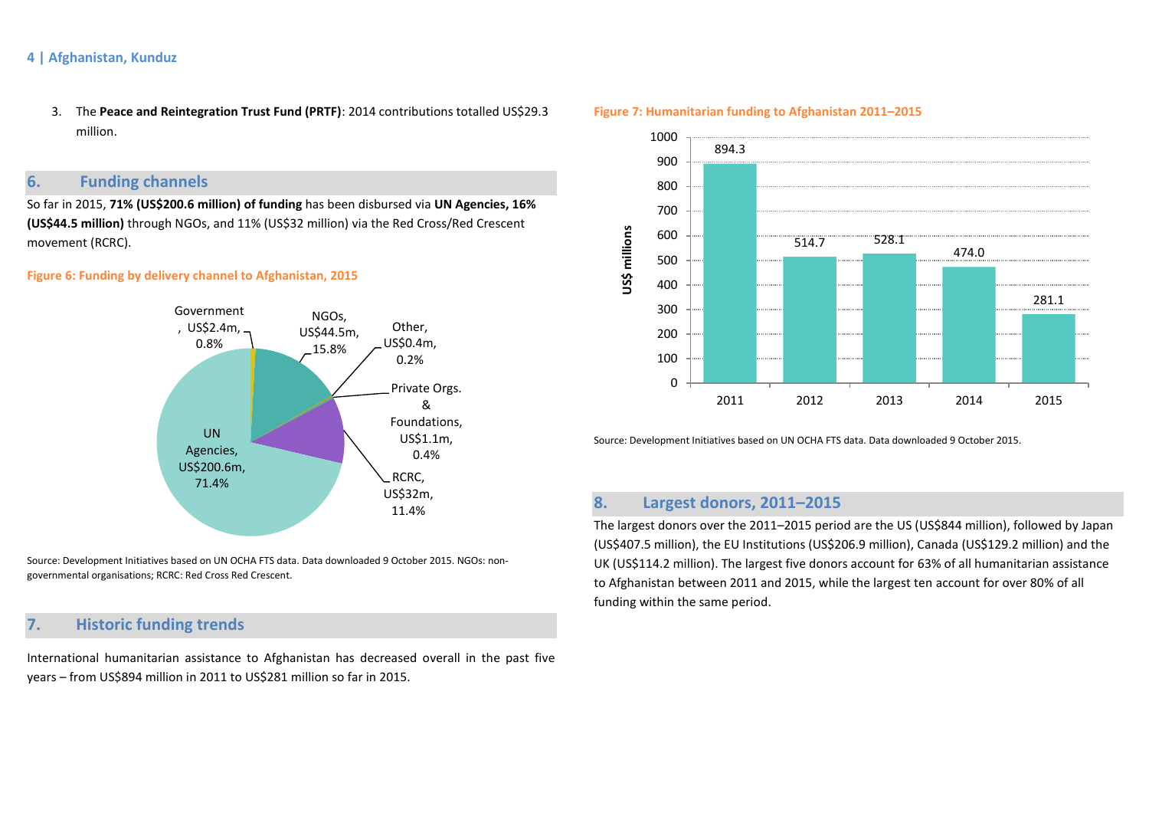3. The **Peace and Reintegration Trust Fund (PRTF)**: 2014 contributions totalled US\$29.3 million.

# **6. Funding channels**

So far in 2015, **71% (US\$200.6 million) of funding** has been disbursed via **UN Agencies, 16% (US\$44.5 million)** through NGOs, and 11% (US\$32 million) via the Red Cross/Red Crescent movement (RCRC).

### **Figure 6: Funding by delivery channel to Afghanistan, 2015**



Source: Development Initiatives based on UN OCHA FTS data. Data downloaded 9 October 2015. NGOs: nongovernmental organisations; RCRC: Red Cross Red Crescent.

# **7. Historic funding trends**

International humanitarian assistance to Afghanistan has decreased overall in the past five years – from US\$894 million in 2011 to US\$281 million so far in 2015.



**Figure 7: Humanitarian funding to Afghanistan 2011–2015**

Source: Development Initiatives based on UN OCHA FTS data. Data downloaded 9 October 2015.

# **8. Largest donors, 2011–2015**

The largest donors over the 2011–2015 period are the US (US\$844 million), followed by Japan (US\$407.5 million), the EU Institutions (US\$206.9 million), Canada (US\$129.2 million) and the UK (US\$114.2 million). The largest five donors account for 63% of all humanitarian assistance to Afghanistan between 2011 and 2015, while the largest ten account for over 80% of all funding within the same period.